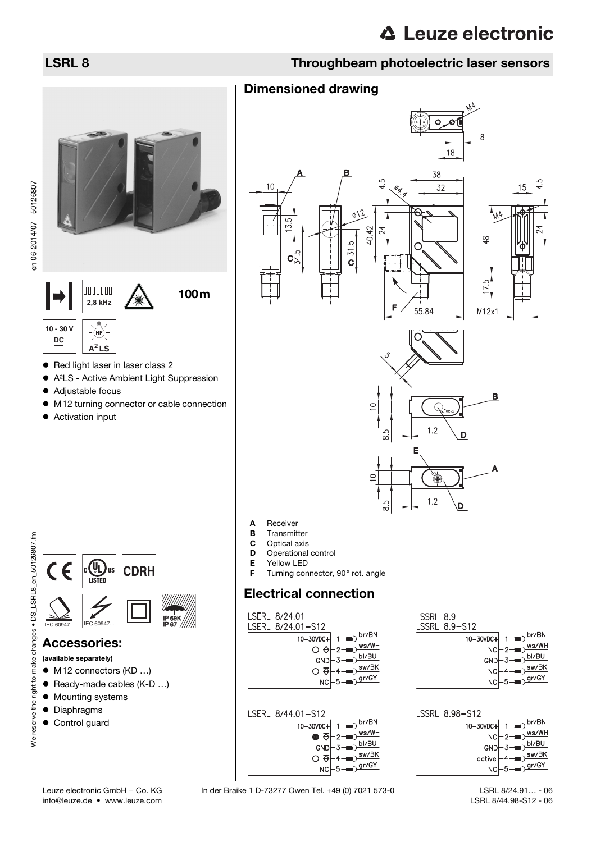# LSRL 8 Throughbeam photoelectric laser sensors

# **nonono** 100m **2,8 kHz**

**10 - 30 V** (HF **DC A<sup>2</sup> LS**

- Red light laser in laser class 2
- A²LS Active Ambient Light Suppression
- Adjustable focus
- M12 turning connector or cable connection
- Activation input



မ်ာ



# Accessories:

- (available separately)
- M12 connectors (KD ...)
- Ready-made cables (K-D ...)
- $\bullet$  Mounting systems
- **•** Diaphragms
- Control guard
- **A** Receiver<br>**B** Transmit
- Transmitter
- **C** Optical axis<br>**D** Operational
- **D** Operational control<br>**E** Yellow LED
- **E** Yellow LED<br>**F** Turning con
- Turning connector, 90° rot. angle

# Electrical connection

Dimensioned drawing

LSERL 8/24.01 LSERL 8/24.01-S12 10-30VDC+



LSERL 8/44.01-S12



LSSRL 8.9 LSSRL 8.9-S12  $\overline{10-3000c+1}$  1 –

D.

| . |                                                           |
|---|-----------------------------------------------------------|
|   | $NC \left\vert -2 \right\vert \rightarrow \frac{ws/WH}{}$ |
|   | $GND \rightarrow 3 \rightarrow 5I/BU$                     |
|   |                                                           |
|   | $NC \rightarrow 4 \rightarrow \overline{\text{sw/BK}}$    |
|   | $NCF5 = \sqrt{gr/GY}$                                     |
|   |                                                           |

br/BN

| LSSRL 8.98-S12 |                                                                                                                                     |
|----------------|-------------------------------------------------------------------------------------------------------------------------------------|
|                |                                                                                                                                     |
|                |                                                                                                                                     |
|                |                                                                                                                                     |
|                | $\begin{array}{r}\n10-30VDC + 1 \rightarrow b r/BN \\ NC = 2 \rightarrow b s/WH \\ CND = 3 \rightarrow b/gU \\ \hline\n\end{array}$ |
|                |                                                                                                                                     |
|                |                                                                                                                                     |

 LSRL 8/24.91… - 06 LSRL 8/44.98-S12 - 06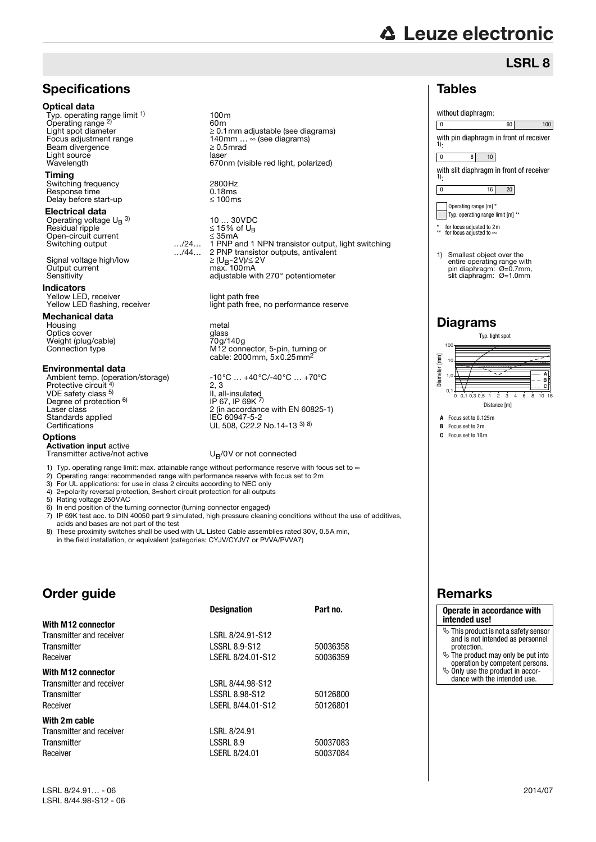# **△ Leuze electronic**

Tables

1):

1):

without diaphragm:

0 8 10

\* for focus adjusted to 2m \*\* for focus adjusted to

**Diagrams** 

**C** Focus set to 16m

 $0.1$ 1,0 10 100

Diameter [mm]

[mm] Jiameter

0 16 20 Operating range [m] \* Typ. operating range limit [m] \*\*

1) Smallest object over the entire operating range with pin diaphragm: Ø=0.7mm, slit diaphragm: Ø=1.0mm

with pin diaphragm in front of receiver

0 60 100

LSRL 8

with slit diaphragm in front of receiver

# **Specifications**

# Optical data

Typ. operating range limit <sup>1)</sup> Operating range <sup>2)</sup><br>Light spot diameter Beam divergence Light source<br>
Wavelenath<br>
Wavelenath

# Timing

Switching frequency 2800Hz Response time 0.18ms Delay before start-up 100ms

 Electrical data Operating voltage U<sub>B</sub> <sup>3)</sup> Residual ripple  $\leq 15\%$  of U<sub>B</sub>

Open-circuit current 35mA Signal voltage high/low Output current<br>Sensitivity

## **Indicators**

Yellow LED, receiver light path free<br>
Yellow LED flashing, receiver light path free

### Mechanical data

Housing metal Optics cover Weight (plug/cable)<br>Connection type

### Environmental data

Ambient temp. (operation/storage) -10°C … +40°C/-40°C … +70°C<br>Protective circuit <sup>4)</sup> 2, 3 VDE safety class <sup>5)</sup><br>Degree of protection <sup>6)</sup> Standards applied<br>Certifications

### **Options**

Activation input active Transmitter active/not active  $U<sub>B</sub>/0V$  or not connected

1) Typ. operating range limit: max. attainable range without performance reserve with focus set to  $\infty$ 

3) For UL applications: for use in class 2 circuits according to NEC only 4) 2=polarity reversal protection. 3=short circuit protection for all output 4) 2=polarity reversal protection, 3=short circuit protection for all outputs<br>5) Rating voltage 250VAC

5) Rating voltage 250VAC<br>6) In end position of the tu 6) In end position of the turning connector (turning connector engaged)

7) IP 69K test acc. to DIN 40050 part 9 simulated, high pressure cleaning conditions without the use of additives, acids and bases are not part of the test

8) These proximity switches shall be used with UL Listed Cable assemblies rated 30V, 0.5A min, in the field installation, or equivalent (categories: CYJV/CYJV7 or PVVA/PVVA7)

# Order guide

|                          | <b>Designation</b>   | Part no. |
|--------------------------|----------------------|----------|
| With M12 connector       |                      |          |
| Transmitter and receiver | LSRL 8/24.91-S12     |          |
| Transmitter              | <b>LSSRL 8.9-S12</b> | 50036358 |
| Receiver                 | LSERL 8/24.01-S12    | 50036359 |
| With M12 connector       |                      |          |
| Transmitter and receiver | LSRL 8/44.98-S12     |          |
| Transmitter              | LSSRL 8.98-S12       | 50126800 |
| Receiver                 | LSERL 8/44.01-S12    | 50126801 |
| With 2m cable            |                      |          |
| Transmitter and receiver | LSRL 8/24.91         |          |
| Transmitter              | LSSRL 8.9            | 50037083 |
| Receiver                 | LSERL 8/24.01        | 50037084 |

LSRL 8/24.91… - 06 2014/07 LSRL 8/44.98-S12 - 06

100m 60m Light spot diameter 0.1mm adjustable (see diagrams) Focus adjustment range 140mm … (see diagrams) wave.<br>670nm (visible red light, polarized)

10 ... 30VDC<br>≤ 15% of U<sub>B</sub> .../24... 1 PNP and 1 NPN transistor output, light switching<br>.../44... 2 PNP transistor outputs, antivalent 2 PNP transistor outputs, antivalent<br>  $\geq (U_B - 2V)/\leq 2V$ <br>
max. 100 mA adjustable with 270° potentiometer

light path free, no performance reserve

Connection type M12 connector, 5-pin, turning or cable: 2000mm, 5x0.25mm2

 $2, 3$ II, all-insulated  $IP$  67, IP 69K  $^{7}$ Laser class 2 (in accordance with EN 60825-1) IEC 60947-5-2<br>UL 508, C22.2 No.14-13 <sup>3) 8)</sup>

- 2) Operating range: recommended range with performance reserve with focus set to 2m
- 

# Remarks **Operate in accordance with**

# **intended use!**

- $\ddot{\diamond}$  This product is not a safety sensor and is not intended as personnel protection.
- $\overset{\text{\tiny{(b)}}}{\triangleright}$  The product may only be put into operation by competent persons.
- $\%$  Only use the product in accordance with the intended use.



Typ. light spot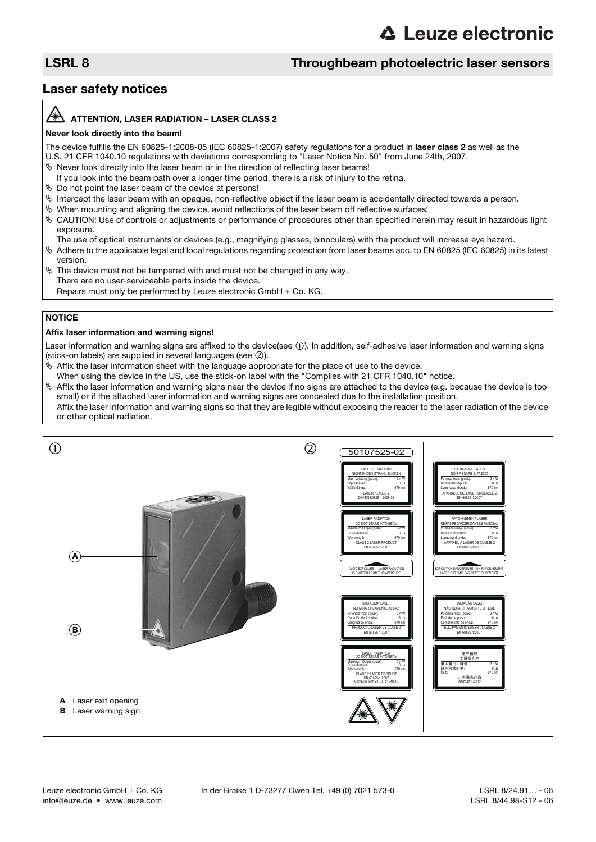# LSRL 8 Throughbeam photoelectric laser sensors

# Laser safety notices

# ATTENTION, LASER RADIATION – LASER CLASS 2

### Never look directly into the beam!

The device fulfills the EN 60825-1:2008-05 (IEC 60825-1:2007) safety regulations for a product in laser class 2 as well as the U.S. 21 CFR 1040.10 regulations with deviations corresponding to "Laser Notice No. 50" from June 24th, 2007.

- $\%$  Never look directly into the laser beam or in the direction of reflecting laser beams!
- If you look into the beam path over a longer time period, there is a risk of injury to the retina.
- $\%$  Do not point the laser beam of the device at persons!
- $\%$  Intercept the laser beam with an opaque, non-reflective object if the laser beam is accidentally directed towards a person.
- When mounting and aligning the device, avoid reflections of the laser beam off reflective surfaces!
- CAUTION! Use of controls or adjustments or performance of procedures other than specified herein may result in hazardous light exposure.
	- The use of optical instruments or devices (e.g., magnifying glasses, binoculars) with the product will increase eye hazard.
- $\%$  Adhere to the applicable legal and local regulations regarding protection from laser beams acc. to EN 60825 (IEC 60825) in its latest version.
- $\%$  The device must not be tampered with and must not be changed in any way. There are no user-serviceable parts inside the device. Repairs must only be performed by Leuze electronic GmbH + Co. KG.

# **NOTICE**

## Affix laser information and warning signs!

Laser information and warning signs are affixed to the device(see  $(1)$ ). In addition, self-adhesive laser information and warning signs (stick-on labels) are supplied in several languages (see  $(2)$ ).

- $\%$  Affix the laser information sheet with the language appropriate for the place of use to the device.
- When using the device in the US, use the stick-on label with the "Complies with 21 CFR 1040.10" notice.
- $\%$  Affix the laser information and warning signs near the device if no signs are attached to the device (e.g. because the device is too small) or if the attached laser information and warning signs are concealed due to the installation position. Affix the laser information and warning signs so that they are legible without exposing the reader to the laser radiation of the device or other optical radiation.